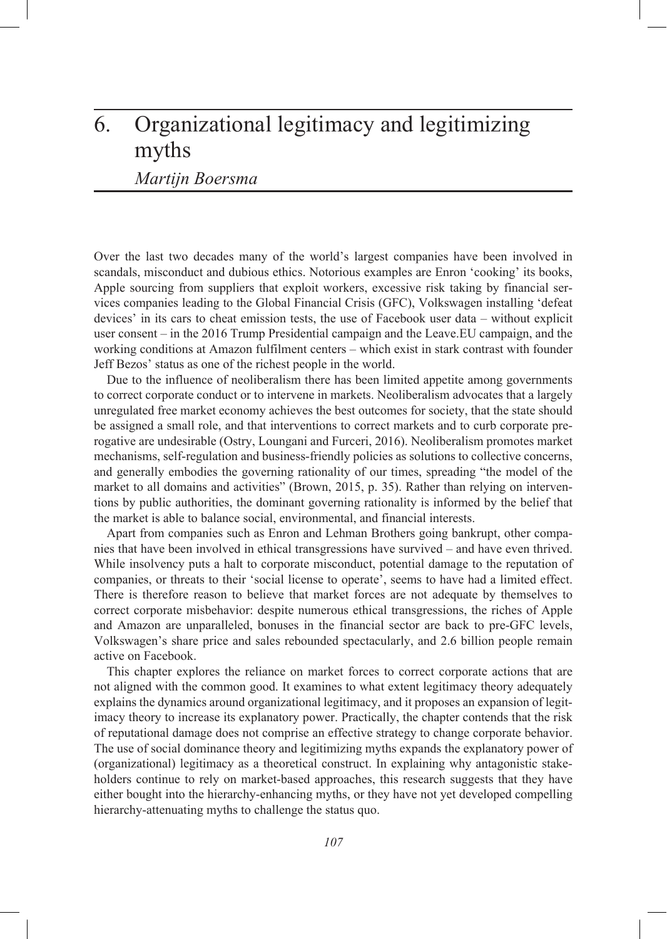# 6. Organizational legitimacy and legitimizing myths

*Martijn Boersma*

Over the last two decades many of the world's largest companies have been involved in scandals, misconduct and dubious ethics. Notorious examples are Enron 'cooking' its books, Apple sourcing from suppliers that exploit workers, excessive risk taking by financial services companies leading to the Global Financial Crisis (GFC), Volkswagen installing 'defeat devices' in its cars to cheat emission tests, the use of Facebook user data – without explicit user consent – in the 2016 Trump Presidential campaign and the Leave.EU campaign, and the working conditions at Amazon fulfilment centers – which exist in stark contrast with founder Jeff Bezos' status as one of the richest people in the world.

Due to the influence of neoliberalism there has been limited appetite among governments to correct corporate conduct or to intervene in markets. Neoliberalism advocates that a largely unregulated free market economy achieves the best outcomes for society, that the state should be assigned a small role, and that interventions to correct markets and to curb corporate prerogative are undesirable (Ostry, Loungani and Furceri, 2016). Neoliberalism promotes market mechanisms, self-regulation and business-friendly policies as solutions to collective concerns, and generally embodies the governing rationality of our times, spreading "the model of the market to all domains and activities" (Brown, 2015, p. 35). Rather than relying on interventions by public authorities, the dominant governing rationality is informed by the belief that the market is able to balance social, environmental, and financial interests.

Apart from companies such as Enron and Lehman Brothers going bankrupt, other companies that have been involved in ethical transgressions have survived – and have even thrived. While insolvency puts a halt to corporate misconduct, potential damage to the reputation of companies, or threats to their 'social license to operate', seems to have had a limited effect. There is therefore reason to believe that market forces are not adequate by themselves to correct corporate misbehavior: despite numerous ethical transgressions, the riches of Apple and Amazon are unparalleled, bonuses in the financial sector are back to pre-GFC levels, Volkswagen's share price and sales rebounded spectacularly, and 2.6 billion people remain active on Facebook.

This chapter explores the reliance on market forces to correct corporate actions that are not aligned with the common good. It examines to what extent legitimacy theory adequately explains the dynamics around organizational legitimacy, and it proposes an expansion of legitimacy theory to increase its explanatory power. Practically, the chapter contends that the risk of reputational damage does not comprise an effective strategy to change corporate behavior. The use of social dominance theory and legitimizing myths expands the explanatory power of (organizational) legitimacy as a theoretical construct. In explaining why antagonistic stakeholders continue to rely on market-based approaches, this research suggests that they have either bought into the hierarchy-enhancing myths, or they have not yet developed compelling hierarchy-attenuating myths to challenge the status quo.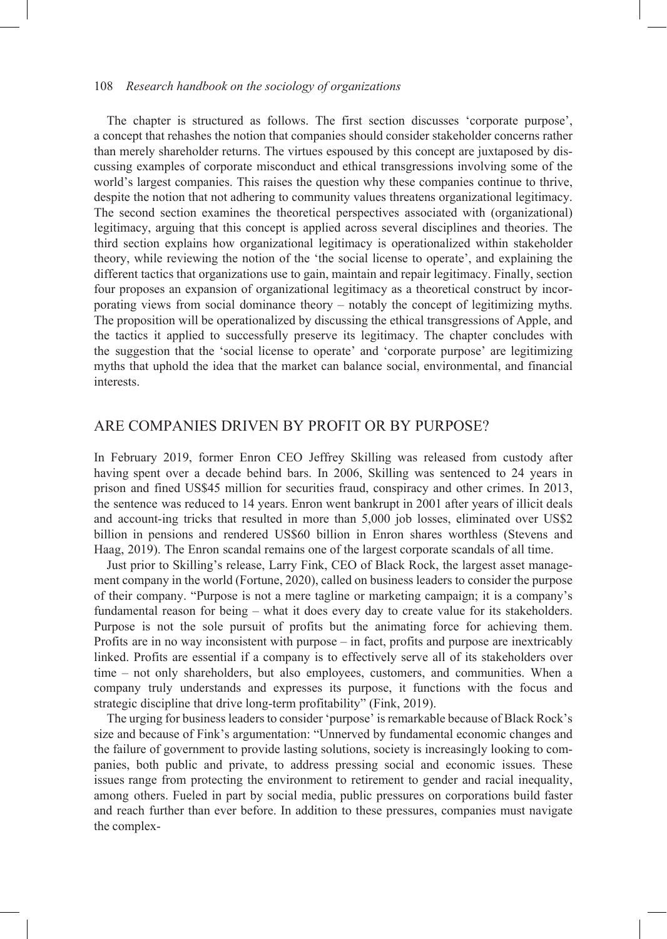The chapter is structured as follows. The first section discusses 'corporate purpose', a concept that rehashes the notion that companies should consider stakeholder concerns rather than merely shareholder returns. The virtues espoused by this concept are juxtaposed by discussing examples of corporate misconduct and ethical transgressions involving some of the world's largest companies. This raises the question why these companies continue to thrive, despite the notion that not adhering to community values threatens organizational legitimacy. The second section examines the theoretical perspectives associated with (organizational) legitimacy, arguing that this concept is applied across several disciplines and theories. The third section explains how organizational legitimacy is operationalized within stakeholder theory, while reviewing the notion of the 'the social license to operate', and explaining the different tactics that organizations use to gain, maintain and repair legitimacy. Finally, section four proposes an expansion of organizational legitimacy as a theoretical construct by incorporating views from social dominance theory – notably the concept of legitimizing myths. The proposition will be operationalized by discussing the ethical transgressions of Apple, and the tactics it applied to successfully preserve its legitimacy. The chapter concludes with the suggestion that the 'social license to operate' and 'corporate purpose' are legitimizing myths that uphold the idea that the market can balance social, environmental, and financial interests.

## ARE COMPANIES DRIVEN BY PROFIT OR BY PURPOSE?

In February 2019, former Enron CEO Jeffrey Skilling was released from custody after having spent over a decade behind bars. In 2006, Skilling was sentenced to 24 years in prison and fined US\$45 million for securities fraud, conspiracy and other crimes. In 2013, the sentence was reduced to 14 years. Enron went bankrupt in 2001 after years of illicit deals and account-ing tricks that resulted in more than 5,000 job losses, eliminated over US\$2 billion in pensions and rendered US\$60 billion in Enron shares worthless (Stevens and Haag, 2019). The Enron scandal remains one of the largest corporate scandals of all time.

Just prior to Skilling's release, Larry Fink, CEO of Black Rock, the largest asset management company in the world (Fortune, 2020), called on business leaders to consider the purpose of their company. "Purpose is not a mere tagline or marketing campaign; it is a company's fundamental reason for being – what it does every day to create value for its stakeholders. Purpose is not the sole pursuit of profits but the animating force for achieving them. Profits are in no way inconsistent with purpose – in fact, profits and purpose are inextricably linked. Profits are essential if a company is to effectively serve all of its stakeholders over time – not only shareholders, but also employees, customers, and communities. When a company truly understands and expresses its purpose, it functions with the focus and strategic discipline that drive long-term profitability" (Fink, 2019).

The urging for business leaders to consider 'purpose' is remarkable because of Black Rock's size and because of Fink's argumentation: "Unnerved by fundamental economic changes and the failure of government to provide lasting solutions, society is increasingly looking to companies, both public and private, to address pressing social and economic issues. These issues range from protecting the environment to retirement to gender and racial inequality, among others. Fueled in part by social media, public pressures on corporations build faster and reach further than ever before. In addition to these pressures, companies must navigate the complex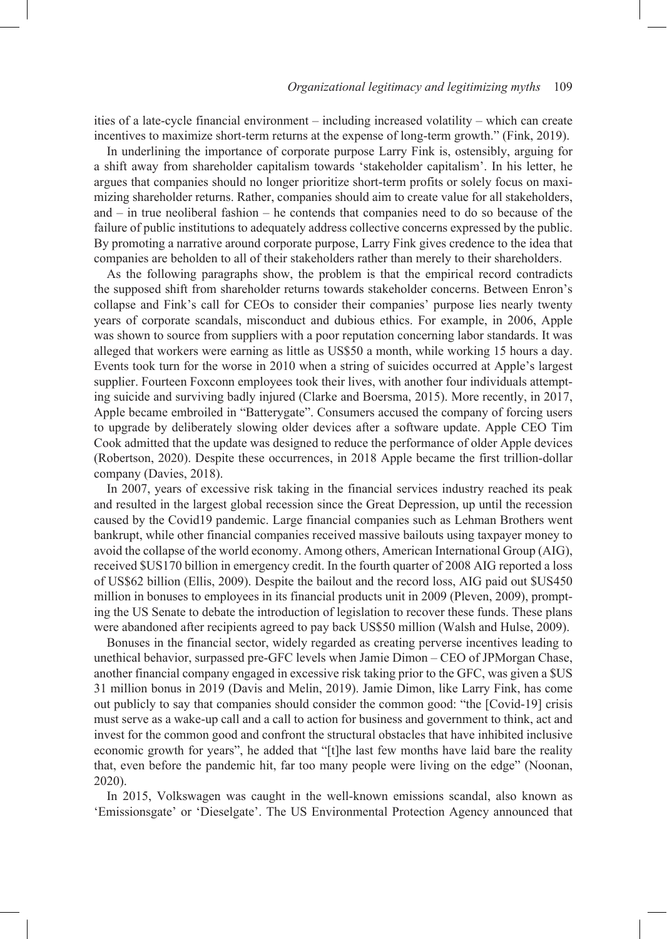ities of a late-cycle financial environment – including increased volatility – which can create incentives to maximize short-term returns at the expense of long-term growth." (Fink, 2019).

In underlining the importance of corporate purpose Larry Fink is, ostensibly, arguing for a shift away from shareholder capitalism towards 'stakeholder capitalism'. In his letter, he argues that companies should no longer prioritize short-term profits or solely focus on maximizing shareholder returns. Rather, companies should aim to create value for all stakeholders, and – in true neoliberal fashion – he contends that companies need to do so because of the failure of public institutions to adequately address collective concerns expressed by the public. By promoting a narrative around corporate purpose, Larry Fink gives credence to the idea that companies are beholden to all of their stakeholders rather than merely to their shareholders.

As the following paragraphs show, the problem is that the empirical record contradicts the supposed shift from shareholder returns towards stakeholder concerns. Between Enron's collapse and Fink's call for CEOs to consider their companies' purpose lies nearly twenty years of corporate scandals, misconduct and dubious ethics. For example, in 2006, Apple was shown to source from suppliers with a poor reputation concerning labor standards. It was alleged that workers were earning as little as US\$50 a month, while working 15 hours a day. Events took turn for the worse in 2010 when a string of suicides occurred at Apple's largest supplier. Fourteen Foxconn employees took their lives, with another four individuals attempting suicide and surviving badly injured (Clarke and Boersma, 2015). More recently, in 2017, Apple became embroiled in "Batterygate". Consumers accused the company of forcing users to upgrade by deliberately slowing older devices after a software update. Apple CEO Tim Cook admitted that the update was designed to reduce the performance of older Apple devices (Robertson, 2020). Despite these occurrences, in 2018 Apple became the first trillion-dollar company (Davies, 2018).

In 2007, years of excessive risk taking in the financial services industry reached its peak and resulted in the largest global recession since the Great Depression, up until the recession caused by the Covid19 pandemic. Large financial companies such as Lehman Brothers went bankrupt, while other financial companies received massive bailouts using taxpayer money to avoid the collapse of the world economy. Among others, American International Group (AIG), received \$US170 billion in emergency credit. In the fourth quarter of 2008 AIG reported a loss of US\$62 billion (Ellis, 2009). Despite the bailout and the record loss, AIG paid out \$US450 million in bonuses to employees in its financial products unit in 2009 (Pleven, 2009), prompting the US Senate to debate the introduction of legislation to recover these funds. These plans were abandoned after recipients agreed to pay back US\$50 million (Walsh and Hulse, 2009).

Bonuses in the financial sector, widely regarded as creating perverse incentives leading to unethical behavior, surpassed pre-GFC levels when Jamie Dimon – CEO of JPMorgan Chase, another financial company engaged in excessive risk taking prior to the GFC, was given a \$US 31 million bonus in 2019 (Davis and Melin, 2019). Jamie Dimon, like Larry Fink, has come out publicly to say that companies should consider the common good: "the [Covid-19] crisis must serve as a wake-up call and a call to action for business and government to think, act and invest for the common good and confront the structural obstacles that have inhibited inclusive economic growth for years", he added that "[t]he last few months have laid bare the reality that, even before the pandemic hit, far too many people were living on the edge" (Noonan, 2020).

In 2015, Volkswagen was caught in the well-known emissions scandal, also known as 'Emissionsgate' or 'Dieselgate'. The US Environmental Protection Agency announced that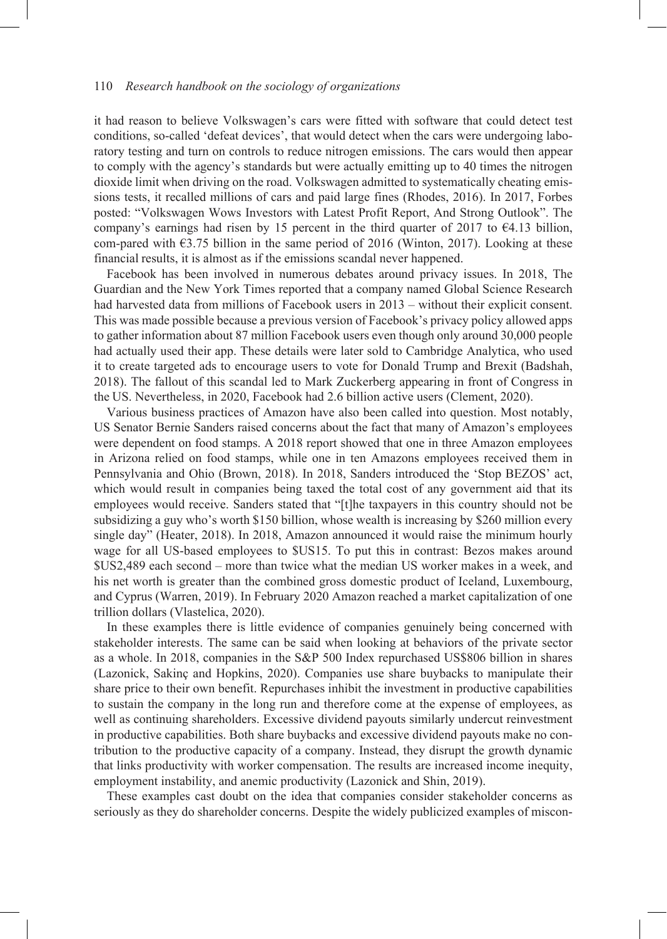it had reason to believe Volkswagen's cars were fitted with software that could detect test conditions, so-called 'defeat devices', that would detect when the cars were undergoing laboratory testing and turn on controls to reduce nitrogen emissions. The cars would then appear to comply with the agency's standards but were actually emitting up to 40 times the nitrogen dioxide limit when driving on the road. Volkswagen admitted to systematically cheating emissions tests, it recalled millions of cars and paid large fines (Rhodes, 2016). In 2017, Forbes posted: "Volkswagen Wows Investors with Latest Profit Report, And Strong Outlook". The company's earnings had risen by 15 percent in the third quarter of 2017 to  $\epsilon$ 4.13 billion, com-pared with  $\epsilon$ 3.75 billion in the same period of 2016 (Winton, 2017). Looking at these financial results, it is almost as if the emissions scandal never happened.

Facebook has been involved in numerous debates around privacy issues. In 2018, The Guardian and the New York Times reported that a company named Global Science Research had harvested data from millions of Facebook users in 2013 – without their explicit consent. This was made possible because a previous version of Facebook's privacy policy allowed apps to gather information about 87 million Facebook users even though only around 30,000 people had actually used their app. These details were later sold to Cambridge Analytica, who used it to create targeted ads to encourage users to vote for Donald Trump and Brexit (Badshah, 2018). The fallout of this scandal led to Mark Zuckerberg appearing in front of Congress in the US. Nevertheless, in 2020, Facebook had 2.6 billion active users (Clement, 2020).

Various business practices of Amazon have also been called into question. Most notably, US Senator Bernie Sanders raised concerns about the fact that many of Amazon's employees were dependent on food stamps. A 2018 report showed that one in three Amazon employees in Arizona relied on food stamps, while one in ten Amazons employees received them in Pennsylvania and Ohio (Brown, 2018). In 2018, Sanders introduced the 'Stop BEZOS' act, which would result in companies being taxed the total cost of any government aid that its employees would receive. Sanders stated that "[t]he taxpayers in this country should not be subsidizing a guy who's worth \$150 billion, whose wealth is increasing by \$260 million every single day" (Heater, 2018). In 2018, Amazon announced it would raise the minimum hourly wage for all US-based employees to \$US15. To put this in contrast: Bezos makes around \$US2,489 each second – more than twice what the median US worker makes in a week, and his net worth is greater than the combined gross domestic product of Iceland, Luxembourg, and Cyprus (Warren, 2019). In February 2020 Amazon reached a market capitalization of one trillion dollars (Vlastelica, 2020).

In these examples there is little evidence of companies genuinely being concerned with stakeholder interests. The same can be said when looking at behaviors of the private sector as a whole. In 2018, companies in the S&P 500 Index repurchased US\$806 billion in shares (Lazonick, Sakinç and Hopkins, 2020). Companies use share buybacks to manipulate their share price to their own benefit. Repurchases inhibit the investment in productive capabilities to sustain the company in the long run and therefore come at the expense of employees, as well as continuing shareholders. Excessive dividend payouts similarly undercut reinvestment in productive capabilities. Both share buybacks and excessive dividend payouts make no contribution to the productive capacity of a company. Instead, they disrupt the growth dynamic that links productivity with worker compensation. The results are increased income inequity, employment instability, and anemic productivity (Lazonick and Shin, 2019).

These examples cast doubt on the idea that companies consider stakeholder concerns as seriously as they do shareholder concerns. Despite the widely publicized examples of miscon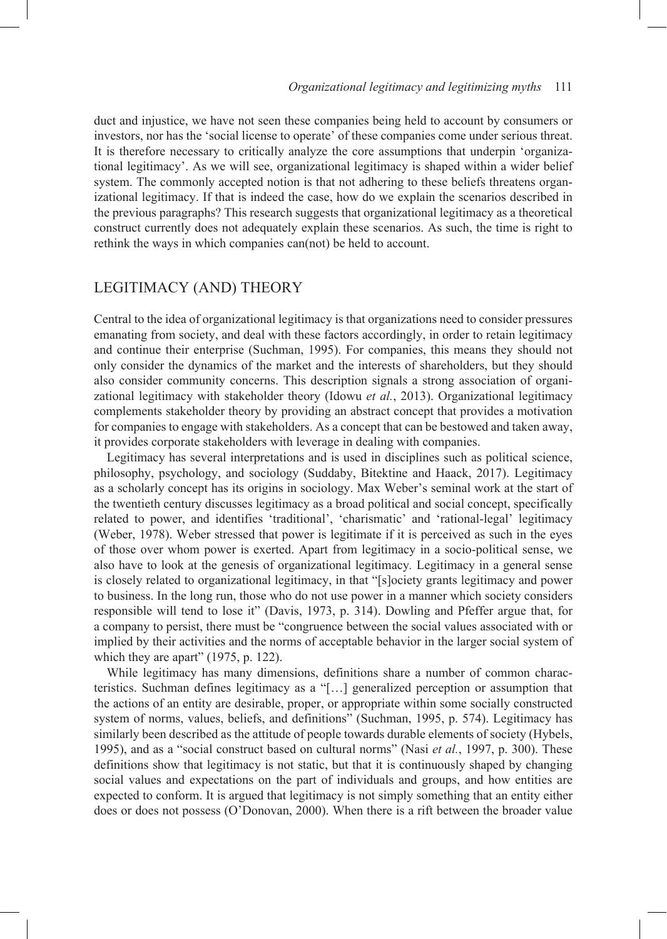duct and injustice, we have not seen these companies being held to account by consumers or investors, nor has the 'social license to operate' of these companies come under serious threat. It is therefore necessary to critically analyze the core assumptions that underpin 'organizational legitimacy'. As we will see, organizational legitimacy is shaped within a wider belief system. The commonly accepted notion is that not adhering to these beliefs threatens organizational legitimacy. If that is indeed the case, how do we explain the scenarios described in the previous paragraphs? This research suggests that organizational legitimacy as a theoretical construct currently does not adequately explain these scenarios. As such, the time is right to rethink the ways in which companies can(not) be held to account.

# LEGITIMACY (AND) THEORY

Central to the idea of organizational legitimacy is that organizations need to consider pressures emanating from society, and deal with these factors accordingly, in order to retain legitimacy and continue their enterprise (Suchman, 1995). For companies, this means they should not only consider the dynamics of the market and the interests of shareholders, but they should also consider community concerns. This description signals a strong association of organizational legitimacy with stakeholder theory (Idowu *et al.*, 2013). Organizational legitimacy complements stakeholder theory by providing an abstract concept that provides a motivation for companies to engage with stakeholders. As a concept that can be bestowed and taken away, it provides corporate stakeholders with leverage in dealing with companies.

Legitimacy has several interpretations and is used in disciplines such as political science, philosophy, psychology, and sociology (Suddaby, Bitektine and Haack, 2017). Legitimacy as a scholarly concept has its origins in sociology. Max Weber's seminal work at the start of the twentieth century discusses legitimacy as a broad political and social concept, specifically related to power, and identifies 'traditional', 'charismatic' and 'rational-legal' legitimacy (Weber, 1978). Weber stressed that power is legitimate if it is perceived as such in the eyes of those over whom power is exerted. Apart from legitimacy in a socio-political sense, we also have to look at the genesis of organizational legitimacy*.* Legitimacy in a general sense is closely related to organizational legitimacy, in that "[s]ociety grants legitimacy and power to business. In the long run, those who do not use power in a manner which society considers responsible will tend to lose it" (Davis, 1973, p. 314). Dowling and Pfeffer argue that, for a company to persist, there must be "congruence between the social values associated with or implied by their activities and the norms of acceptable behavior in the larger social system of which they are apart" (1975, p. 122).

While legitimacy has many dimensions, definitions share a number of common characteristics. Suchman defines legitimacy as a "[…] generalized perception or assumption that the actions of an entity are desirable, proper, or appropriate within some socially constructed system of norms, values, beliefs, and definitions" (Suchman, 1995, p. 574). Legitimacy has similarly been described as the attitude of people towards durable elements of society (Hybels, 1995), and as a "social construct based on cultural norms" (Nasi *et al.*, 1997, p. 300). These definitions show that legitimacy is not static, but that it is continuously shaped by changing social values and expectations on the part of individuals and groups, and how entities are expected to conform. It is argued that legitimacy is not simply something that an entity either does or does not possess (O'Donovan, 2000). When there is a rift between the broader value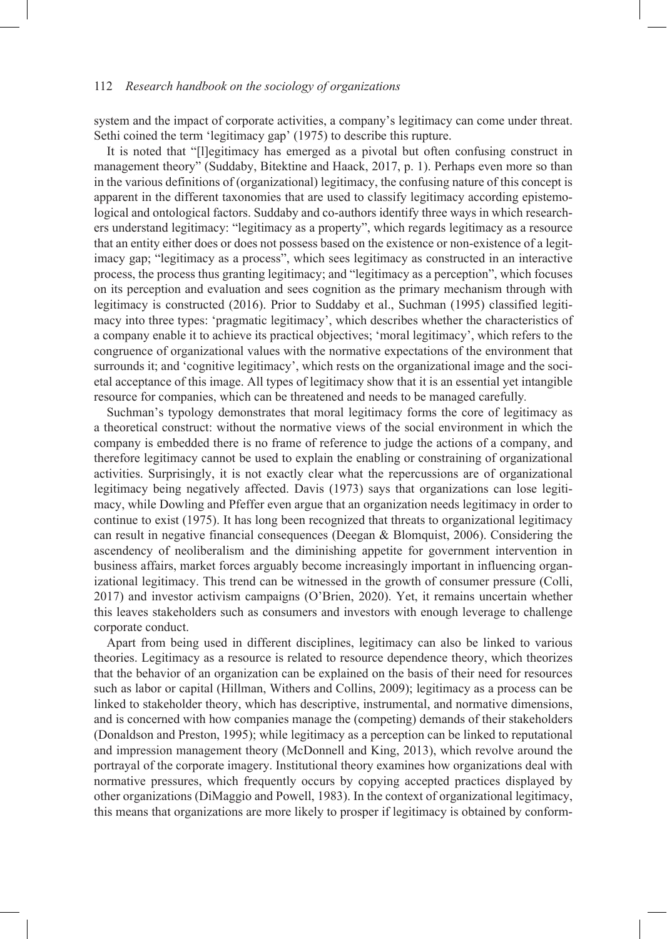system and the impact of corporate activities, a company's legitimacy can come under threat. Sethi coined the term 'legitimacy gap' (1975) to describe this rupture.

It is noted that "[l]egitimacy has emerged as a pivotal but often confusing construct in management theory" (Suddaby, Bitektine and Haack, 2017, p. 1). Perhaps even more so than in the various definitions of (organizational) legitimacy, the confusing nature of this concept is apparent in the different taxonomies that are used to classify legitimacy according epistemological and ontological factors. Suddaby and co-authors identify three ways in which researchers understand legitimacy: "legitimacy as a property", which regards legitimacy as a resource that an entity either does or does not possess based on the existence or non-existence of a legitimacy gap; "legitimacy as a process", which sees legitimacy as constructed in an interactive process, the process thus granting legitimacy; and "legitimacy as a perception", which focuses on its perception and evaluation and sees cognition as the primary mechanism through with legitimacy is constructed (2016). Prior to Suddaby et al., Suchman (1995) classified legitimacy into three types: 'pragmatic legitimacy', which describes whether the characteristics of a company enable it to achieve its practical objectives; 'moral legitimacy', which refers to the congruence of organizational values with the normative expectations of the environment that surrounds it; and 'cognitive legitimacy', which rests on the organizational image and the societal acceptance of this image. All types of legitimacy show that it is an essential yet intangible resource for companies, which can be threatened and needs to be managed carefully*.*

Suchman's typology demonstrates that moral legitimacy forms the core of legitimacy as a theoretical construct: without the normative views of the social environment in which the company is embedded there is no frame of reference to judge the actions of a company, and therefore legitimacy cannot be used to explain the enabling or constraining of organizational activities. Surprisingly, it is not exactly clear what the repercussions are of organizational legitimacy being negatively affected. Davis (1973) says that organizations can lose legitimacy, while Dowling and Pfeffer even argue that an organization needs legitimacy in order to continue to exist (1975). It has long been recognized that threats to organizational legitimacy can result in negative financial consequences (Deegan & Blomquist, 2006). Considering the ascendency of neoliberalism and the diminishing appetite for government intervention in business affairs, market forces arguably become increasingly important in influencing organizational legitimacy. This trend can be witnessed in the growth of consumer pressure (Colli, 2017) and investor activism campaigns (O'Brien, 2020). Yet, it remains uncertain whether this leaves stakeholders such as consumers and investors with enough leverage to challenge corporate conduct.

Apart from being used in different disciplines, legitimacy can also be linked to various theories. Legitimacy as a resource is related to resource dependence theory, which theorizes that the behavior of an organization can be explained on the basis of their need for resources such as labor or capital (Hillman, Withers and Collins, 2009); legitimacy as a process can be linked to stakeholder theory, which has descriptive, instrumental, and normative dimensions, and is concerned with how companies manage the (competing) demands of their stakeholders (Donaldson and Preston, 1995); while legitimacy as a perception can be linked to reputational and impression management theory (McDonnell and King, 2013), which revolve around the portrayal of the corporate imagery. Institutional theory examines how organizations deal with normative pressures, which frequently occurs by copying accepted practices displayed by other organizations (DiMaggio and Powell, 1983). In the context of organizational legitimacy, this means that organizations are more likely to prosper if legitimacy is obtained by conform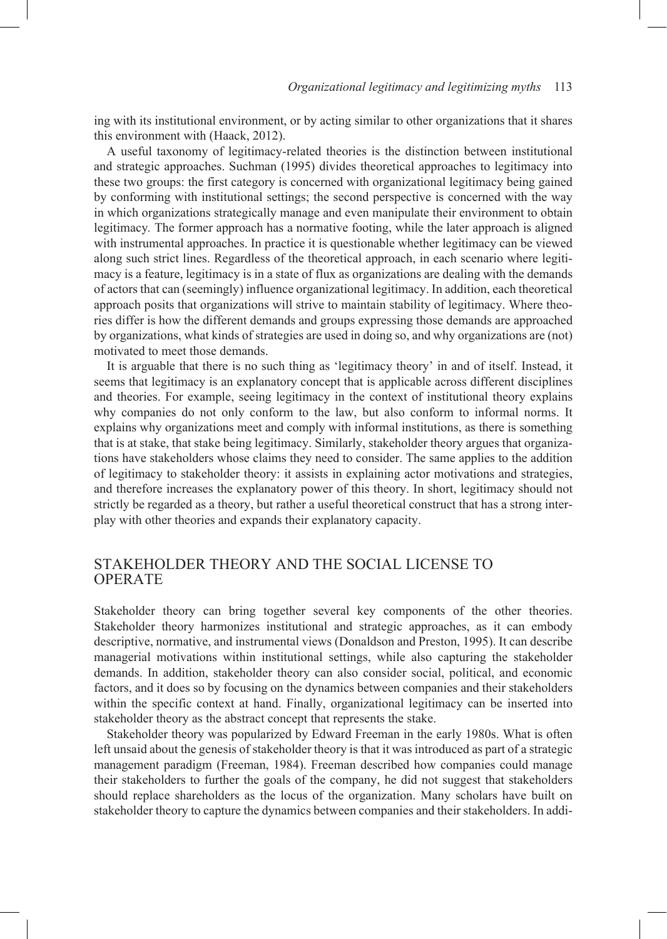ing with its institutional environment, or by acting similar to other organizations that it shares this environment with (Haack, 2012).

A useful taxonomy of legitimacy-related theories is the distinction between institutional and strategic approaches. Suchman (1995) divides theoretical approaches to legitimacy into these two groups: the first category is concerned with organizational legitimacy being gained by conforming with institutional settings; the second perspective is concerned with the way in which organizations strategically manage and even manipulate their environment to obtain legitimacy*.* The former approach has a normative footing, while the later approach is aligned with instrumental approaches. In practice it is questionable whether legitimacy can be viewed along such strict lines. Regardless of the theoretical approach, in each scenario where legitimacy is a feature, legitimacy is in a state of flux as organizations are dealing with the demands of actors that can (seemingly) influence organizational legitimacy. In addition, each theoretical approach posits that organizations will strive to maintain stability of legitimacy. Where theories differ is how the different demands and groups expressing those demands are approached by organizations, what kinds of strategies are used in doing so, and why organizations are (not) motivated to meet those demands.

It is arguable that there is no such thing as 'legitimacy theory' in and of itself. Instead, it seems that legitimacy is an explanatory concept that is applicable across different disciplines and theories. For example, seeing legitimacy in the context of institutional theory explains why companies do not only conform to the law, but also conform to informal norms. It explains why organizations meet and comply with informal institutions, as there is something that is at stake, that stake being legitimacy. Similarly, stakeholder theory argues that organizations have stakeholders whose claims they need to consider. The same applies to the addition of legitimacy to stakeholder theory: it assists in explaining actor motivations and strategies, and therefore increases the explanatory power of this theory. In short, legitimacy should not strictly be regarded as a theory, but rather a useful theoretical construct that has a strong interplay with other theories and expands their explanatory capacity.

## STAKEHOLDER THEORY AND THE SOCIAL LICENSE TO **OPERATE**

Stakeholder theory can bring together several key components of the other theories. Stakeholder theory harmonizes institutional and strategic approaches, as it can embody descriptive, normative, and instrumental views (Donaldson and Preston, 1995). It can describe managerial motivations within institutional settings, while also capturing the stakeholder demands. In addition, stakeholder theory can also consider social, political, and economic factors, and it does so by focusing on the dynamics between companies and their stakeholders within the specific context at hand. Finally, organizational legitimacy can be inserted into stakeholder theory as the abstract concept that represents the stake.

Stakeholder theory was popularized by Edward Freeman in the early 1980s. What is often left unsaid about the genesis of stakeholder theory is that it was introduced as part of a strategic management paradigm (Freeman, 1984). Freeman described how companies could manage their stakeholders to further the goals of the company, he did not suggest that stakeholders should replace shareholders as the locus of the organization. Many scholars have built on stakeholder theory to capture the dynamics between companies and their stakeholders. In addi-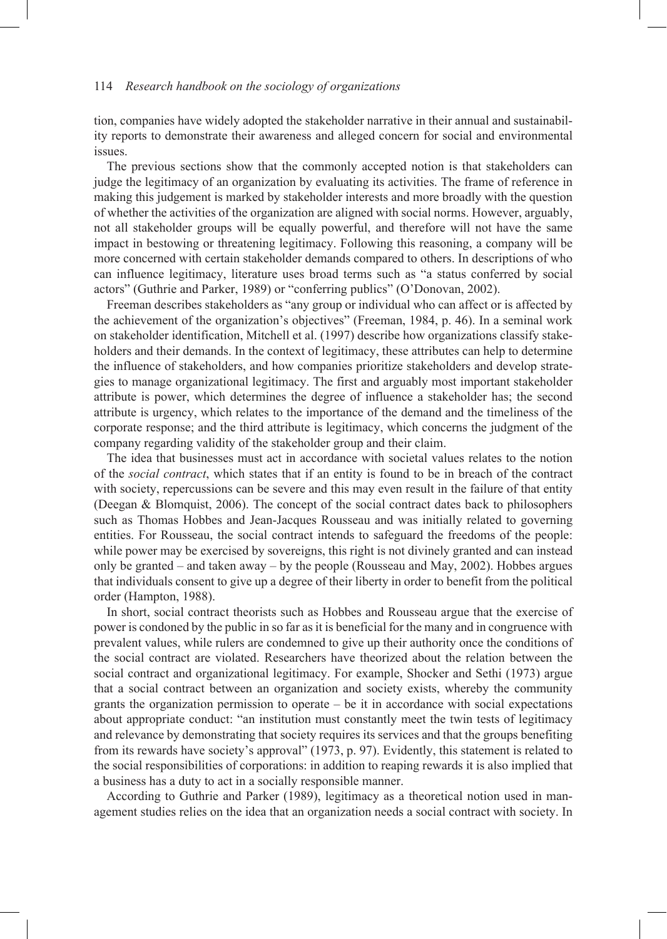tion, companies have widely adopted the stakeholder narrative in their annual and sustainability reports to demonstrate their awareness and alleged concern for social and environmental issues.

The previous sections show that the commonly accepted notion is that stakeholders can judge the legitimacy of an organization by evaluating its activities. The frame of reference in making this judgement is marked by stakeholder interests and more broadly with the question of whether the activities of the organization are aligned with social norms. However, arguably, not all stakeholder groups will be equally powerful, and therefore will not have the same impact in bestowing or threatening legitimacy. Following this reasoning, a company will be more concerned with certain stakeholder demands compared to others. In descriptions of who can influence legitimacy, literature uses broad terms such as "a status conferred by social actors" (Guthrie and Parker, 1989) or "conferring publics" (O'Donovan, 2002).

Freeman describes stakeholders as "any group or individual who can affect or is affected by the achievement of the organization's objectives" (Freeman, 1984, p. 46). In a seminal work on stakeholder identification, Mitchell et al. (1997) describe how organizations classify stakeholders and their demands. In the context of legitimacy, these attributes can help to determine the influence of stakeholders, and how companies prioritize stakeholders and develop strategies to manage organizational legitimacy. The first and arguably most important stakeholder attribute is power, which determines the degree of influence a stakeholder has; the second attribute is urgency, which relates to the importance of the demand and the timeliness of the corporate response; and the third attribute is legitimacy, which concerns the judgment of the company regarding validity of the stakeholder group and their claim.

The idea that businesses must act in accordance with societal values relates to the notion of the *social contract*, which states that if an entity is found to be in breach of the contract with society, repercussions can be severe and this may even result in the failure of that entity (Deegan & Blomquist, 2006). The concept of the social contract dates back to philosophers such as Thomas Hobbes and Jean-Jacques Rousseau and was initially related to governing entities. For Rousseau, the social contract intends to safeguard the freedoms of the people: while power may be exercised by sovereigns, this right is not divinely granted and can instead only be granted – and taken away – by the people (Rousseau and May, 2002). Hobbes argues that individuals consent to give up a degree of their liberty in order to benefit from the political order (Hampton, 1988).

In short, social contract theorists such as Hobbes and Rousseau argue that the exercise of power is condoned by the public in so far as it is beneficial for the many and in congruence with prevalent values, while rulers are condemned to give up their authority once the conditions of the social contract are violated. Researchers have theorized about the relation between the social contract and organizational legitimacy. For example, Shocker and Sethi (1973) argue that a social contract between an organization and society exists, whereby the community grants the organization permission to operate – be it in accordance with social expectations about appropriate conduct: "an institution must constantly meet the twin tests of legitimacy and relevance by demonstrating that society requires its services and that the groups benefiting from its rewards have society's approval" (1973, p. 97). Evidently, this statement is related to the social responsibilities of corporations: in addition to reaping rewards it is also implied that a business has a duty to act in a socially responsible manner.

According to Guthrie and Parker (1989), legitimacy as a theoretical notion used in management studies relies on the idea that an organization needs a social contract with society. In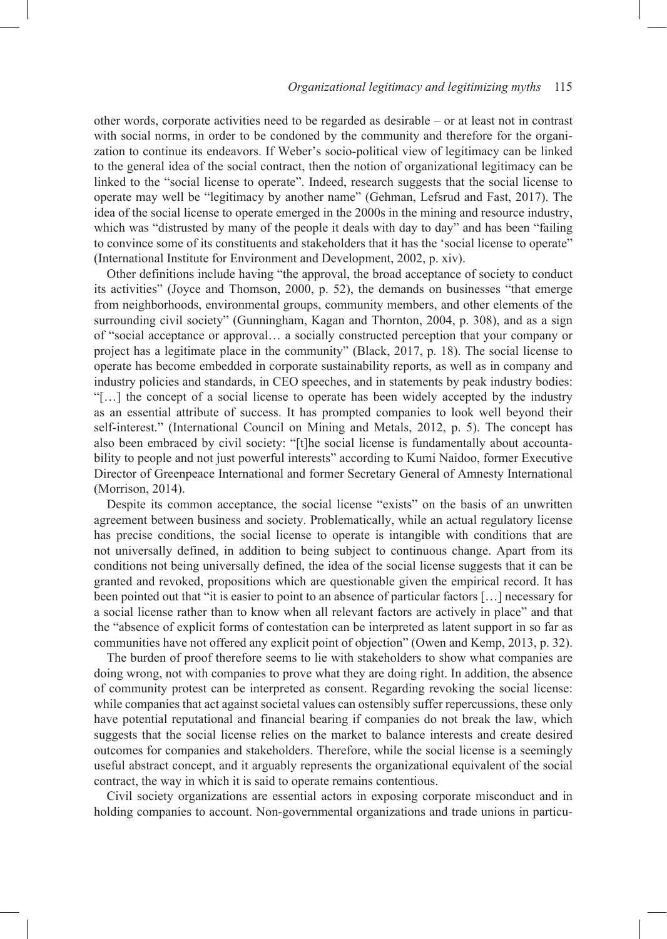other words, corporate activities need to be regarded as desirable – or at least not in contrast with social norms, in order to be condoned by the community and therefore for the organization to continue its endeavors. If Weber's socio-political view of legitimacy can be linked to the general idea of the social contract, then the notion of organizational legitimacy can be linked to the "social license to operate". Indeed, research suggests that the social license to operate may well be "legitimacy by another name" (Gehman, Lefsrud and Fast, 2017). The idea of the social license to operate emerged in the 2000s in the mining and resource industry, which was "distrusted by many of the people it deals with day to day" and has been "failing to convince some of its constituents and stakeholders that it has the 'social license to operate" (International Institute for Environment and Development, 2002, p. xiv).

Other definitions include having "the approval, the broad acceptance of society to conduct its activities" (Joyce and Thomson, 2000, p. 52), the demands on businesses "that emerge from neighborhoods, environmental groups, community members, and other elements of the surrounding civil society" (Gunningham, Kagan and Thornton, 2004, p. 308), and as a sign of "social acceptance or approval… a socially constructed perception that your company or project has a legitimate place in the community" (Black, 2017, p. 18). The social license to operate has become embedded in corporate sustainability reports, as well as in company and industry policies and standards, in CEO speeches, and in statements by peak industry bodies: "[…] the concept of a social license to operate has been widely accepted by the industry as an essential attribute of success. It has prompted companies to look well beyond their self-interest." (International Council on Mining and Metals, 2012, p. 5). The concept has also been embraced by civil society: "[t]he social license is fundamentally about accountability to people and not just powerful interests" according to Kumi Naidoo, former Executive Director of Greenpeace International and former Secretary General of Amnesty International (Morrison, 2014).

Despite its common acceptance, the social license "exists" on the basis of an unwritten agreement between business and society. Problematically, while an actual regulatory license has precise conditions, the social license to operate is intangible with conditions that are not universally defined, in addition to being subject to continuous change. Apart from its conditions not being universally defined, the idea of the social license suggests that it can be granted and revoked, propositions which are questionable given the empirical record. It has been pointed out that "it is easier to point to an absence of particular factors […] necessary for a social license rather than to know when all relevant factors are actively in place" and that the "absence of explicit forms of contestation can be interpreted as latent support in so far as communities have not offered any explicit point of objection" (Owen and Kemp, 2013, p. 32).

The burden of proof therefore seems to lie with stakeholders to show what companies are doing wrong, not with companies to prove what they are doing right. In addition, the absence of community protest can be interpreted as consent. Regarding revoking the social license: while companies that act against societal values can ostensibly suffer repercussions, these only have potential reputational and financial bearing if companies do not break the law, which suggests that the social license relies on the market to balance interests and create desired outcomes for companies and stakeholders. Therefore, while the social license is a seemingly useful abstract concept, and it arguably represents the organizational equivalent of the social contract, the way in which it is said to operate remains contentious.

Civil society organizations are essential actors in exposing corporate misconduct and in holding companies to account. Non-governmental organizations and trade unions in particu-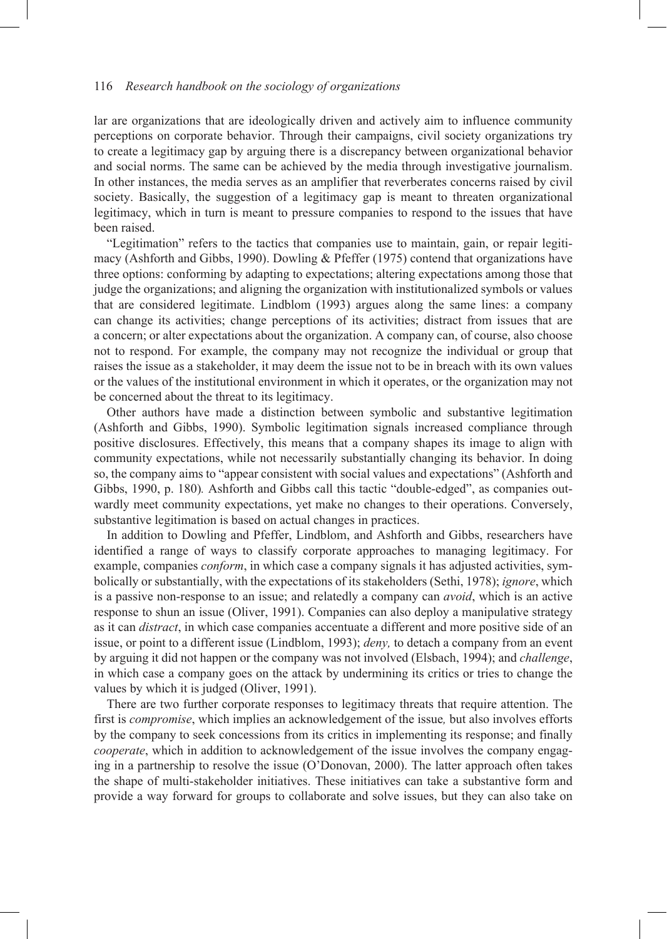lar are organizations that are ideologically driven and actively aim to influence community perceptions on corporate behavior. Through their campaigns, civil society organizations try to create a legitimacy gap by arguing there is a discrepancy between organizational behavior and social norms. The same can be achieved by the media through investigative journalism. In other instances, the media serves as an amplifier that reverberates concerns raised by civil society. Basically, the suggestion of a legitimacy gap is meant to threaten organizational legitimacy, which in turn is meant to pressure companies to respond to the issues that have been raised.

"Legitimation" refers to the tactics that companies use to maintain, gain, or repair legitimacy (Ashforth and Gibbs, 1990). Dowling & Pfeffer (1975) contend that organizations have three options: conforming by adapting to expectations; altering expectations among those that judge the organizations; and aligning the organization with institutionalized symbols or values that are considered legitimate. Lindblom (1993) argues along the same lines: a company can change its activities; change perceptions of its activities; distract from issues that are a concern; or alter expectations about the organization. A company can, of course, also choose not to respond. For example, the company may not recognize the individual or group that raises the issue as a stakeholder, it may deem the issue not to be in breach with its own values or the values of the institutional environment in which it operates, or the organization may not be concerned about the threat to its legitimacy.

Other authors have made a distinction between symbolic and substantive legitimation (Ashforth and Gibbs, 1990). Symbolic legitimation signals increased compliance through positive disclosures. Effectively, this means that a company shapes its image to align with community expectations, while not necessarily substantially changing its behavior. In doing so, the company aims to "appear consistent with social values and expectations" (Ashforth and Gibbs, 1990, p. 180)*.* Ashforth and Gibbs call this tactic "double-edged", as companies outwardly meet community expectations, yet make no changes to their operations. Conversely, substantive legitimation is based on actual changes in practices.

In addition to Dowling and Pfeffer, Lindblom, and Ashforth and Gibbs, researchers have identified a range of ways to classify corporate approaches to managing legitimacy. For example, companies *conform*, in which case a company signals it has adjusted activities, symbolically or substantially, with the expectations of its stakeholders (Sethi, 1978); *ignore*, which is a passive non-response to an issue; and relatedly a company can *avoid*, which is an active response to shun an issue (Oliver, 1991). Companies can also deploy a manipulative strategy as it can *distract*, in which case companies accentuate a different and more positive side of an issue, or point to a different issue (Lindblom, 1993); *deny,* to detach a company from an event by arguing it did not happen or the company was not involved (Elsbach, 1994); and *challenge*, in which case a company goes on the attack by undermining its critics or tries to change the values by which it is judged (Oliver, 1991).

There are two further corporate responses to legitimacy threats that require attention. The first is *compromise*, which implies an acknowledgement of the issue*,* but also involves efforts by the company to seek concessions from its critics in implementing its response; and finally *cooperate*, which in addition to acknowledgement of the issue involves the company engaging in a partnership to resolve the issue (O'Donovan, 2000). The latter approach often takes the shape of multi-stakeholder initiatives. These initiatives can take a substantive form and provide a way forward for groups to collaborate and solve issues, but they can also take on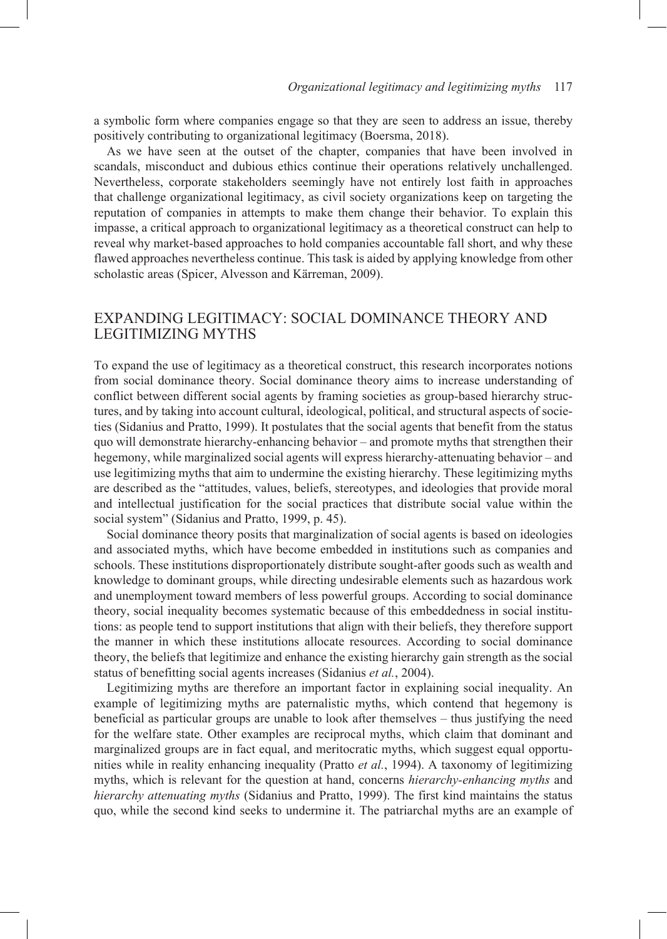a symbolic form where companies engage so that they are seen to address an issue, thereby positively contributing to organizational legitimacy (Boersma, 2018).

As we have seen at the outset of the chapter, companies that have been involved in scandals, misconduct and dubious ethics continue their operations relatively unchallenged. Nevertheless, corporate stakeholders seemingly have not entirely lost faith in approaches that challenge organizational legitimacy, as civil society organizations keep on targeting the reputation of companies in attempts to make them change their behavior. To explain this impasse, a critical approach to organizational legitimacy as a theoretical construct can help to reveal why market-based approaches to hold companies accountable fall short, and why these flawed approaches nevertheless continue. This task is aided by applying knowledge from other scholastic areas (Spicer, Alvesson and Kärreman, 2009).

# EXPANDING LEGITIMACY: SOCIAL DOMINANCE THEORY AND LEGITIMIZING MYTHS

To expand the use of legitimacy as a theoretical construct, this research incorporates notions from social dominance theory. Social dominance theory aims to increase understanding of conflict between different social agents by framing societies as group-based hierarchy structures, and by taking into account cultural, ideological, political, and structural aspects of societies (Sidanius and Pratto, 1999). It postulates that the social agents that benefit from the status quo will demonstrate hierarchy-enhancing behavior – and promote myths that strengthen their hegemony, while marginalized social agents will express hierarchy-attenuating behavior – and use legitimizing myths that aim to undermine the existing hierarchy. These legitimizing myths are described as the "attitudes, values, beliefs, stereotypes, and ideologies that provide moral and intellectual justification for the social practices that distribute social value within the social system" (Sidanius and Pratto, 1999, p. 45).

Social dominance theory posits that marginalization of social agents is based on ideologies and associated myths, which have become embedded in institutions such as companies and schools. These institutions disproportionately distribute sought-after goods such as wealth and knowledge to dominant groups, while directing undesirable elements such as hazardous work and unemployment toward members of less powerful groups. According to social dominance theory, social inequality becomes systematic because of this embeddedness in social institutions: as people tend to support institutions that align with their beliefs, they therefore support the manner in which these institutions allocate resources. According to social dominance theory, the beliefs that legitimize and enhance the existing hierarchy gain strength as the social status of benefitting social agents increases (Sidanius *et al.*, 2004).

Legitimizing myths are therefore an important factor in explaining social inequality. An example of legitimizing myths are paternalistic myths, which contend that hegemony is beneficial as particular groups are unable to look after themselves – thus justifying the need for the welfare state. Other examples are reciprocal myths, which claim that dominant and marginalized groups are in fact equal, and meritocratic myths, which suggest equal opportunities while in reality enhancing inequality (Pratto *et al.*, 1994). A taxonomy of legitimizing myths, which is relevant for the question at hand, concerns *hierarchy-enhancing myths* and *hierarchy attenuating myths* (Sidanius and Pratto, 1999). The first kind maintains the status quo, while the second kind seeks to undermine it. The patriarchal myths are an example of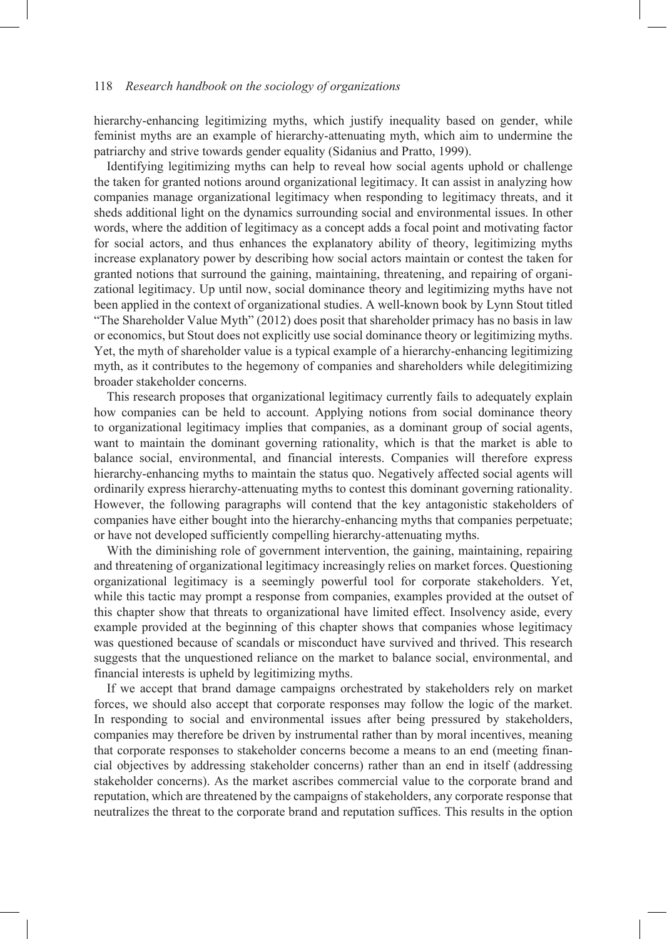hierarchy-enhancing legitimizing myths, which justify inequality based on gender, while feminist myths are an example of hierarchy-attenuating myth, which aim to undermine the patriarchy and strive towards gender equality (Sidanius and Pratto, 1999).

Identifying legitimizing myths can help to reveal how social agents uphold or challenge the taken for granted notions around organizational legitimacy. It can assist in analyzing how companies manage organizational legitimacy when responding to legitimacy threats, and it sheds additional light on the dynamics surrounding social and environmental issues. In other words, where the addition of legitimacy as a concept adds a focal point and motivating factor for social actors, and thus enhances the explanatory ability of theory, legitimizing myths increase explanatory power by describing how social actors maintain or contest the taken for granted notions that surround the gaining, maintaining, threatening, and repairing of organizational legitimacy. Up until now, social dominance theory and legitimizing myths have not been applied in the context of organizational studies. A well-known book by Lynn Stout titled "The Shareholder Value Myth" (2012) does posit that shareholder primacy has no basis in law or economics, but Stout does not explicitly use social dominance theory or legitimizing myths. Yet, the myth of shareholder value is a typical example of a hierarchy-enhancing legitimizing myth, as it contributes to the hegemony of companies and shareholders while delegitimizing broader stakeholder concerns.

This research proposes that organizational legitimacy currently fails to adequately explain how companies can be held to account. Applying notions from social dominance theory to organizational legitimacy implies that companies, as a dominant group of social agents, want to maintain the dominant governing rationality, which is that the market is able to balance social, environmental, and financial interests. Companies will therefore express hierarchy-enhancing myths to maintain the status quo. Negatively affected social agents will ordinarily express hierarchy-attenuating myths to contest this dominant governing rationality. However, the following paragraphs will contend that the key antagonistic stakeholders of companies have either bought into the hierarchy-enhancing myths that companies perpetuate; or have not developed sufficiently compelling hierarchy-attenuating myths.

With the diminishing role of government intervention, the gaining, maintaining, repairing and threatening of organizational legitimacy increasingly relies on market forces. Questioning organizational legitimacy is a seemingly powerful tool for corporate stakeholders. Yet, while this tactic may prompt a response from companies, examples provided at the outset of this chapter show that threats to organizational have limited effect. Insolvency aside, every example provided at the beginning of this chapter shows that companies whose legitimacy was questioned because of scandals or misconduct have survived and thrived. This research suggests that the unquestioned reliance on the market to balance social, environmental, and financial interests is upheld by legitimizing myths.

If we accept that brand damage campaigns orchestrated by stakeholders rely on market forces, we should also accept that corporate responses may follow the logic of the market. In responding to social and environmental issues after being pressured by stakeholders, companies may therefore be driven by instrumental rather than by moral incentives, meaning that corporate responses to stakeholder concerns become a means to an end (meeting financial objectives by addressing stakeholder concerns) rather than an end in itself (addressing stakeholder concerns). As the market ascribes commercial value to the corporate brand and reputation, which are threatened by the campaigns of stakeholders, any corporate response that neutralizes the threat to the corporate brand and reputation suffices. This results in the option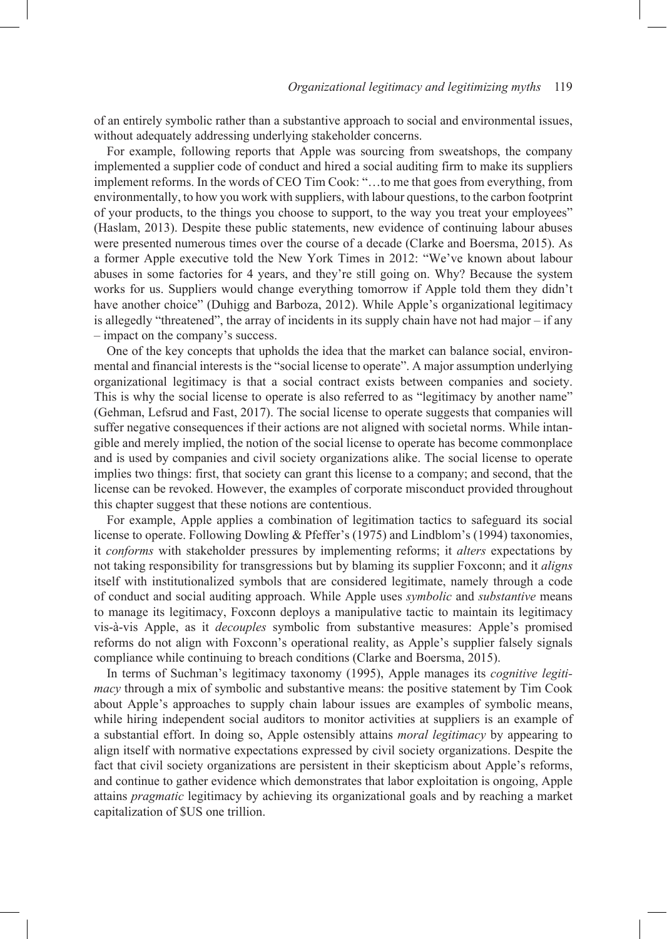of an entirely symbolic rather than a substantive approach to social and environmental issues, without adequately addressing underlying stakeholder concerns.

For example, following reports that Apple was sourcing from sweatshops, the company implemented a supplier code of conduct and hired a social auditing firm to make its suppliers implement reforms. In the words of CEO Tim Cook: "…to me that goes from everything, from environmentally, to how you work with suppliers, with labour questions, to the carbon footprint of your products, to the things you choose to support, to the way you treat your employees" (Haslam, 2013). Despite these public statements, new evidence of continuing labour abuses were presented numerous times over the course of a decade (Clarke and Boersma, 2015). As a former Apple executive told the New York Times in 2012: "We've known about labour abuses in some factories for 4 years, and they're still going on. Why? Because the system works for us. Suppliers would change everything tomorrow if Apple told them they didn't have another choice" (Duhigg and Barboza, 2012). While Apple's organizational legitimacy is allegedly "threatened", the array of incidents in its supply chain have not had major – if any – impact on the company's success.

One of the key concepts that upholds the idea that the market can balance social, environmental and financial interests is the "social license to operate". A major assumption underlying organizational legitimacy is that a social contract exists between companies and society. This is why the social license to operate is also referred to as "legitimacy by another name" (Gehman, Lefsrud and Fast, 2017). The social license to operate suggests that companies will suffer negative consequences if their actions are not aligned with societal norms. While intangible and merely implied, the notion of the social license to operate has become commonplace and is used by companies and civil society organizations alike. The social license to operate implies two things: first, that society can grant this license to a company; and second, that the license can be revoked. However, the examples of corporate misconduct provided throughout this chapter suggest that these notions are contentious.

For example, Apple applies a combination of legitimation tactics to safeguard its social license to operate. Following Dowling & Pfeffer's (1975) and Lindblom's (1994) taxonomies, it *conforms* with stakeholder pressures by implementing reforms; it *alters* expectations by not taking responsibility for transgressions but by blaming its supplier Foxconn; and it *aligns* itself with institutionalized symbols that are considered legitimate, namely through a code of conduct and social auditing approach. While Apple uses *symbolic* and *substantive* means to manage its legitimacy, Foxconn deploys a manipulative tactic to maintain its legitimacy vis-à-vis Apple, as it *decouples* symbolic from substantive measures: Apple's promised reforms do not align with Foxconn's operational reality, as Apple's supplier falsely signals compliance while continuing to breach conditions (Clarke and Boersma, 2015).

In terms of Suchman's legitimacy taxonomy (1995), Apple manages its *cognitive legitimacy* through a mix of symbolic and substantive means: the positive statement by Tim Cook about Apple's approaches to supply chain labour issues are examples of symbolic means, while hiring independent social auditors to monitor activities at suppliers is an example of a substantial effort. In doing so, Apple ostensibly attains *moral legitimacy* by appearing to align itself with normative expectations expressed by civil society organizations. Despite the fact that civil society organizations are persistent in their skepticism about Apple's reforms, and continue to gather evidence which demonstrates that labor exploitation is ongoing, Apple attains *pragmatic* legitimacy by achieving its organizational goals and by reaching a market capitalization of \$US one trillion.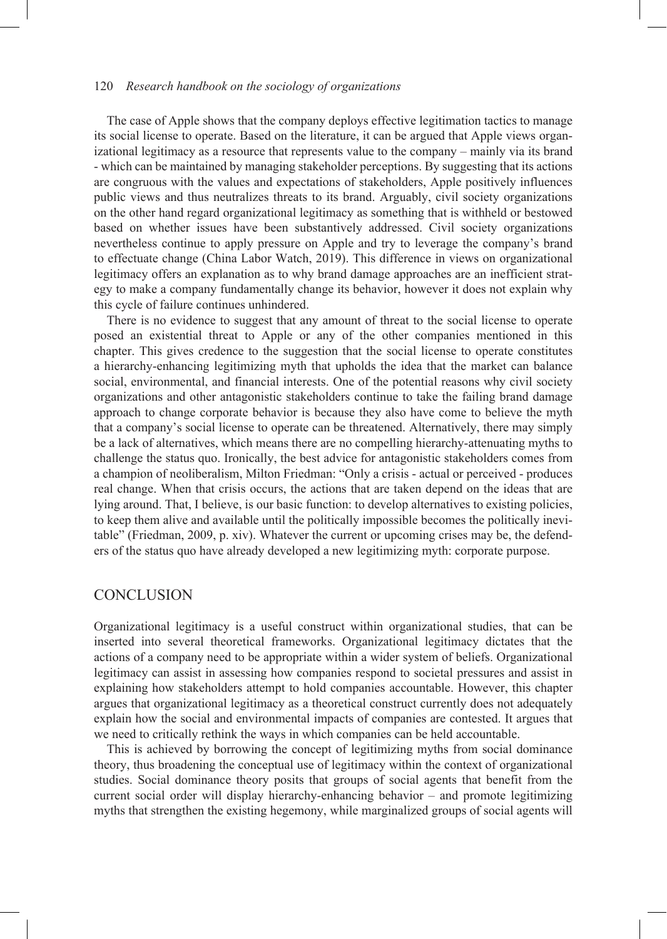The case of Apple shows that the company deploys effective legitimation tactics to manage its social license to operate. Based on the literature, it can be argued that Apple views organizational legitimacy as a resource that represents value to the company – mainly via its brand - which can be maintained by managing stakeholder perceptions. By suggesting that its actions are congruous with the values and expectations of stakeholders, Apple positively influences public views and thus neutralizes threats to its brand. Arguably, civil society organizations on the other hand regard organizational legitimacy as something that is withheld or bestowed based on whether issues have been substantively addressed. Civil society organizations nevertheless continue to apply pressure on Apple and try to leverage the company's brand to effectuate change (China Labor Watch, 2019). This difference in views on organizational legitimacy offers an explanation as to why brand damage approaches are an inefficient strategy to make a company fundamentally change its behavior, however it does not explain why this cycle of failure continues unhindered.

There is no evidence to suggest that any amount of threat to the social license to operate posed an existential threat to Apple or any of the other companies mentioned in this chapter. This gives credence to the suggestion that the social license to operate constitutes a hierarchy-enhancing legitimizing myth that upholds the idea that the market can balance social, environmental, and financial interests. One of the potential reasons why civil society organizations and other antagonistic stakeholders continue to take the failing brand damage approach to change corporate behavior is because they also have come to believe the myth that a company's social license to operate can be threatened. Alternatively, there may simply be a lack of alternatives, which means there are no compelling hierarchy-attenuating myths to challenge the status quo. Ironically, the best advice for antagonistic stakeholders comes from a champion of neoliberalism, Milton Friedman: "Only a crisis - actual or perceived - produces real change. When that crisis occurs, the actions that are taken depend on the ideas that are lying around. That, I believe, is our basic function: to develop alternatives to existing policies, to keep them alive and available until the politically impossible becomes the politically inevitable" (Friedman, 2009, p. xiv). Whatever the current or upcoming crises may be, the defenders of the status quo have already developed a new legitimizing myth: corporate purpose.

## **CONCLUSION**

Organizational legitimacy is a useful construct within organizational studies, that can be inserted into several theoretical frameworks. Organizational legitimacy dictates that the actions of a company need to be appropriate within a wider system of beliefs. Organizational legitimacy can assist in assessing how companies respond to societal pressures and assist in explaining how stakeholders attempt to hold companies accountable. However, this chapter argues that organizational legitimacy as a theoretical construct currently does not adequately explain how the social and environmental impacts of companies are contested. It argues that we need to critically rethink the ways in which companies can be held accountable.

This is achieved by borrowing the concept of legitimizing myths from social dominance theory, thus broadening the conceptual use of legitimacy within the context of organizational studies. Social dominance theory posits that groups of social agents that benefit from the current social order will display hierarchy-enhancing behavior – and promote legitimizing myths that strengthen the existing hegemony, while marginalized groups of social agents will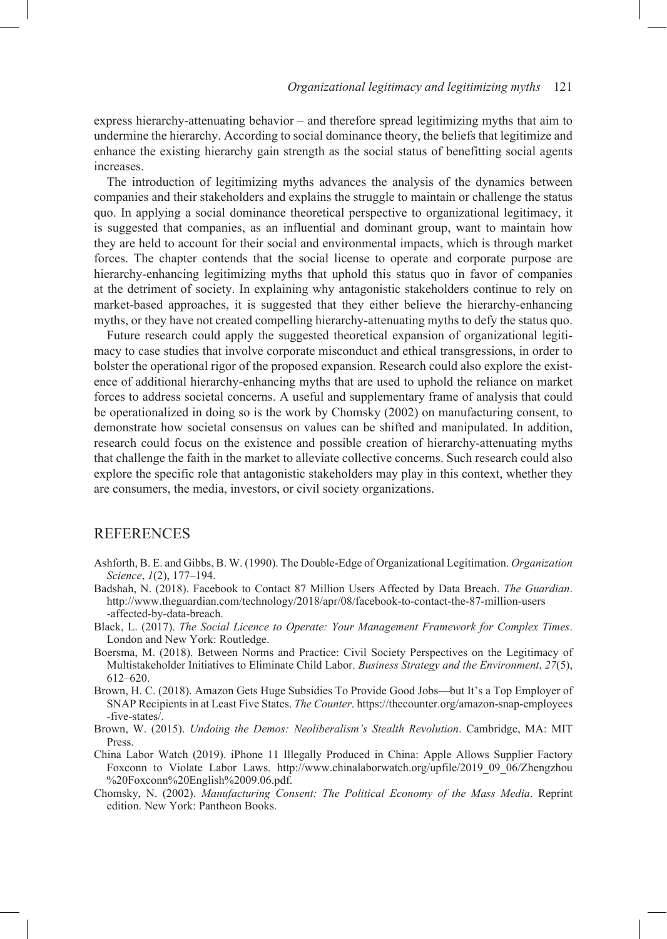express hierarchy-attenuating behavior – and therefore spread legitimizing myths that aim to undermine the hierarchy. According to social dominance theory, the beliefs that legitimize and enhance the existing hierarchy gain strength as the social status of benefitting social agents increases.

The introduction of legitimizing myths advances the analysis of the dynamics between companies and their stakeholders and explains the struggle to maintain or challenge the status quo. In applying a social dominance theoretical perspective to organizational legitimacy, it is suggested that companies, as an influential and dominant group, want to maintain how they are held to account for their social and environmental impacts, which is through market forces. The chapter contends that the social license to operate and corporate purpose are hierarchy-enhancing legitimizing myths that uphold this status quo in favor of companies at the detriment of society. In explaining why antagonistic stakeholders continue to rely on market-based approaches, it is suggested that they either believe the hierarchy-enhancing myths, or they have not created compelling hierarchy-attenuating myths to defy the status quo.

Future research could apply the suggested theoretical expansion of organizational legitimacy to case studies that involve corporate misconduct and ethical transgressions, in order to bolster the operational rigor of the proposed expansion. Research could also explore the existence of additional hierarchy-enhancing myths that are used to uphold the reliance on market forces to address societal concerns. A useful and supplementary frame of analysis that could be operationalized in doing so is the work by Chomsky (2002) on manufacturing consent, to demonstrate how societal consensus on values can be shifted and manipulated. In addition, research could focus on the existence and possible creation of hierarchy-attenuating myths that challenge the faith in the market to alleviate collective concerns. Such research could also explore the specific role that antagonistic stakeholders may play in this context, whether they are consumers, the media, investors, or civil society organizations.

## **REFERENCES**

- Ashforth, B. E. and Gibbs, B. W. (1990). The Double-Edge of Organizational Legitimation. *Organization Science*, *1*(2), 177–194.
- Badshah, N. (2018). Facebook to Contact 87 Million Users Affected by Data Breach. *The Guardian*. http://www.theguardian.com/technology/2018/apr/08/facebook-to-contact-the-87-million-users -affected-by-data-breach.
- Black, L. (2017). *The Social Licence to Operate: Your Management Framework for Complex Times*. London and New York: Routledge.
- Boersma, M. (2018). Between Norms and Practice: Civil Society Perspectives on the Legitimacy of Multistakeholder Initiatives to Eliminate Child Labor. *Business Strategy and the Environment*, *27*(5), 612–620.
- Brown, H. C. (2018). Amazon Gets Huge Subsidies To Provide Good Jobs—but It's a Top Employer of SNAP Recipients in at Least Five States. *The Counter*. https://thecounter.org/amazon-snap-employees -five-states/.
- Brown, W. (2015). *Undoing the Demos: Neoliberalism's Stealth Revolution*. Cambridge, MA: MIT Press.
- China Labor Watch (2019). iPhone 11 Illegally Produced in China: Apple Allows Supplier Factory Foxconn to Violate Labor Laws. http://www.chinalaborwatch.org/upfile/2019\_09\_06/Zhengzhou %20Foxconn%20English%2009.06.pdf.
- Chomsky, N. (2002). *Manufacturing Consent: The Political Economy of the Mass Media*. Reprint edition. New York: Pantheon Books.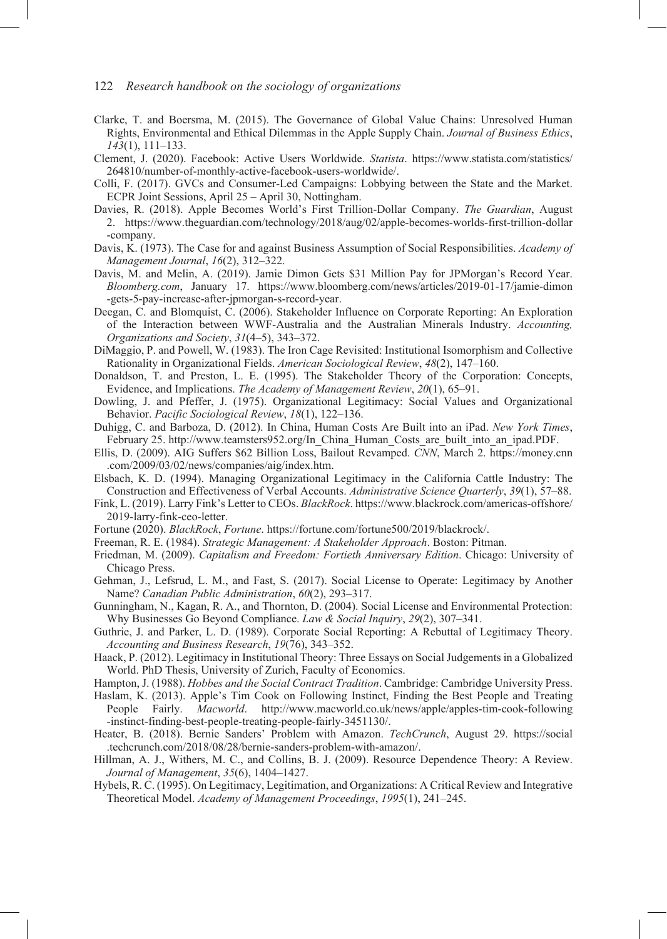- Clarke, T. and Boersma, M. (2015). The Governance of Global Value Chains: Unresolved Human Rights, Environmental and Ethical Dilemmas in the Apple Supply Chain. *Journal of Business Ethics*, *143*(1), 111–133.
- Clement, J. (2020). Facebook: Active Users Worldwide. *Statista*. https://www.statista.com/statistics/ 264810/number-of-monthly-active-facebook-users-worldwide/.
- Colli, F. (2017). GVCs and Consumer-Led Campaigns: Lobbying between the State and the Market. ECPR Joint Sessions, April 25 – April 30, Nottingham.
- Davies, R. (2018). Apple Becomes World's First Trillion-Dollar Company. *The Guardian*, August 2. https://www.theguardian.com/technology/2018/aug/02/apple-becomes-worlds-first-trillion-dollar -company.
- Davis, K. (1973). The Case for and against Business Assumption of Social Responsibilities. *Academy of Management Journal*, *16*(2), 312–322.
- Davis, M. and Melin, A. (2019). Jamie Dimon Gets \$31 Million Pay for JPMorgan's Record Year. *Bloomberg.com*, January 17. https://www.bloomberg.com/news/articles/2019-01-17/jamie-dimon -gets-5-pay-increase-after-jpmorgan-s-record-year.
- Deegan, C. and Blomquist, C. (2006). Stakeholder Influence on Corporate Reporting: An Exploration of the Interaction between WWF-Australia and the Australian Minerals Industry. *Accounting, Organizations and Society*, *31*(4–5), 343–372.
- DiMaggio, P. and Powell, W. (1983). The Iron Cage Revisited: Institutional Isomorphism and Collective Rationality in Organizational Fields. *American Sociological Review*, *48*(2), 147–160.
- Donaldson, T. and Preston, L. E. (1995). The Stakeholder Theory of the Corporation: Concepts, Evidence, and Implications. *The Academy of Management Review*, *20*(1), 65–91.
- Dowling, J. and Pfeffer, J. (1975). Organizational Legitimacy: Social Values and Organizational Behavior. *Pacific Sociological Review*, *18*(1), 122–136.
- Duhigg, C. and Barboza, D. (2012). In China, Human Costs Are Built into an iPad. *New York Times*, February 25. http://www.teamsters952.org/In\_China\_Human\_Costs\_are\_built\_into\_an\_ipad.PDF.
- Ellis, D. (2009). AIG Suffers \$62 Billion Loss, Bailout Revamped. *CNN*, March 2. https://money.cnn .com/2009/03/02/news/companies/aig/index.htm.
- Elsbach, K. D. (1994). Managing Organizational Legitimacy in the California Cattle Industry: The Construction and Effectiveness of Verbal Accounts. *Administrative Science Quarterly*, *39*(1), 57–88.
- Fink, L. (2019). Larry Fink's Letter to CEOs. *BlackRock*. https://www.blackrock.com/americas-offshore/ 2019-larry-fink-ceo-letter.
- Fortune (2020). *BlackRock*, *Fortune*. https://fortune.com/fortune500/2019/blackrock/.
- Freeman, R. E. (1984). *Strategic Management: A Stakeholder Approach*. Boston: Pitman.
- Friedman, M. (2009). *Capitalism and Freedom: Fortieth Anniversary Edition*. Chicago: University of Chicago Press.
- Gehman, J., Lefsrud, L. M., and Fast, S. (2017). Social License to Operate: Legitimacy by Another Name? *Canadian Public Administration*, *60*(2), 293–317.
- Gunningham, N., Kagan, R. A., and Thornton, D. (2004). Social License and Environmental Protection: Why Businesses Go Beyond Compliance. *Law & Social Inquiry*, *29*(2), 307–341.
- Guthrie, J. and Parker, L. D. (1989). Corporate Social Reporting: A Rebuttal of Legitimacy Theory. *Accounting and Business Research*, *19*(76), 343–352.
- Haack, P. (2012). Legitimacy in Institutional Theory: Three Essays on Social Judgements in a Globalized World. PhD Thesis, University of Zurich, Faculty of Economics.
- Hampton, J. (1988). *Hobbes and the Social Contract Tradition*. Cambridge: Cambridge University Press.
- Haslam, K. (2013). Apple's Tim Cook on Following Instinct, Finding the Best People and Treating People Fairly. *Macworld*. http://www.macworld.co.uk/news/apple/apples-tim-cook-following -instinct-finding-best-people-treating-people-fairly-3451130/.
- Heater, B. (2018). Bernie Sanders' Problem with Amazon. *TechCrunch*, August 29. https://social .techcrunch.com/2018/08/28/bernie-sanders-problem-with-amazon/.
- Hillman, A. J., Withers, M. C., and Collins, B. J. (2009). Resource Dependence Theory: A Review. *Journal of Management*, *35*(6), 1404–1427.
- Hybels, R. C. (1995). On Legitimacy, Legitimation, and Organizations: A Critical Review and Integrative Theoretical Model. *Academy of Management Proceedings*, *1995*(1), 241–245.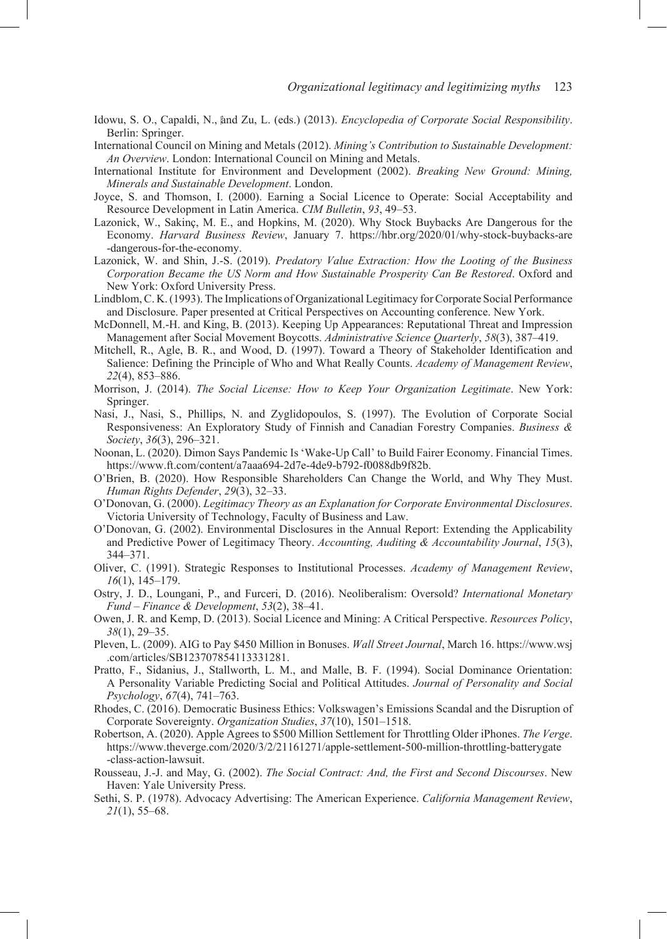- Idowu, S. O., Capaldi, N., and Zu, L. (eds.) (2013). *Encyclopedia of Corporate Social Responsibility*. Berlin: Springer.
- International Council on Mining and Metals (2012). *Mining's Contribution to Sustainable Development: An Overview*. London: International Council on Mining and Metals.
- International Institute for Environment and Development (2002). *Breaking New Ground: Mining, Minerals and Sustainable Development*. London.
- Joyce, S. and Thomson, I. (2000). Earning a Social Licence to Operate: Social Acceptability and Resource Development in Latin America. *CIM Bulletin*, *93*, 49–53.
- Lazonick, W., Sakinç, M. E., and Hopkins, M. (2020). Why Stock Buybacks Are Dangerous for the Economy. *Harvard Business Review*, January 7. https://hbr.org/2020/01/why-stock-buybacks-are -dangerous-for-the-economy.
- Lazonick, W. and Shin, J.-S. (2019). *Predatory Value Extraction: How the Looting of the Business Corporation Became the US Norm and How Sustainable Prosperity Can Be Restored*. Oxford and New York: Oxford University Press.
- Lindblom, C. K. (1993). The Implications of Organizational Legitimacy for Corporate Social Performance and Disclosure. Paper presented at Critical Perspectives on Accounting conference. New York.
- McDonnell, M.-H. and King, B. (2013). Keeping Up Appearances: Reputational Threat and Impression Management after Social Movement Boycotts. *Administrative Science Quarterly*, *58*(3), 387–419.
- Mitchell, R., Agle, B. R., and Wood, D. (1997). Toward a Theory of Stakeholder Identification and Salience: Defining the Principle of Who and What Really Counts. *Academy of Management Review*, *22*(4), 853–886.
- Morrison, J. (2014). *The Social License: How to Keep Your Organization Legitimate*. New York: Springer.
- Nasi, J., Nasi, S., Phillips, N. and Zyglidopoulos, S. (1997). The Evolution of Corporate Social Responsiveness: An Exploratory Study of Finnish and Canadian Forestry Companies. *Business & Society*, *36*(3), 296–321.
- Noonan, L. (2020). Dimon Says Pandemic Is 'Wake-Up Call' to Build Fairer Economy. Financial Times. https://www.ft.com/content/a7aaa694-2d7e-4de9-b792-f0088db9f82b.
- O'Brien, B. (2020). How Responsible Shareholders Can Change the World, and Why They Must. *Human Rights Defender*, *29*(3), 32–33.
- O'Donovan, G. (2000). *Legitimacy Theory as an Explanation for Corporate Environmental Disclosures*. Victoria University of Technology, Faculty of Business and Law.
- O'Donovan, G. (2002). Environmental Disclosures in the Annual Report: Extending the Applicability and Predictive Power of Legitimacy Theory. *Accounting, Auditing & Accountability Journal*, *15*(3), 344–371.
- Oliver, C. (1991). Strategic Responses to Institutional Processes. *Academy of Management Review*, *16*(1), 145–179.
- Ostry, J. D., Loungani, P., and Furceri, D. (2016). Neoliberalism: Oversold? *International Monetary Fund – Finance & Development*, *53*(2), 38–41.
- Owen, J. R. and Kemp, D. (2013). Social Licence and Mining: A Critical Perspective. *Resources Policy*, *38*(1), 29–35.
- Pleven, L. (2009). AIG to Pay \$450 Million in Bonuses. *Wall Street Journal*, March 16. https://www.wsj .com/articles/SB123707854113331281.
- Pratto, F., Sidanius, J., Stallworth, L. M., and Malle, B. F. (1994). Social Dominance Orientation: A Personality Variable Predicting Social and Political Attitudes. *Journal of Personality and Social Psychology*, *67*(4), 741–763.
- Rhodes, C. (2016). Democratic Business Ethics: Volkswagen's Emissions Scandal and the Disruption of Corporate Sovereignty. *Organization Studies*, *37*(10), 1501–1518.
- Robertson, A. (2020). Apple Agrees to \$500 Million Settlement for Throttling Older iPhones. *The Verge*. https://www.theverge.com/2020/3/2/21161271/apple-settlement-500-million-throttling-batterygate -class-action-lawsuit.
- Rousseau, J.-J. and May, G. (2002). *The Social Contract: And, the First and Second Discourses*. New Haven: Yale University Press.
- Sethi, S. P. (1978). Advocacy Advertising: The American Experience. *California Management Review*, *21*(1), 55–68.